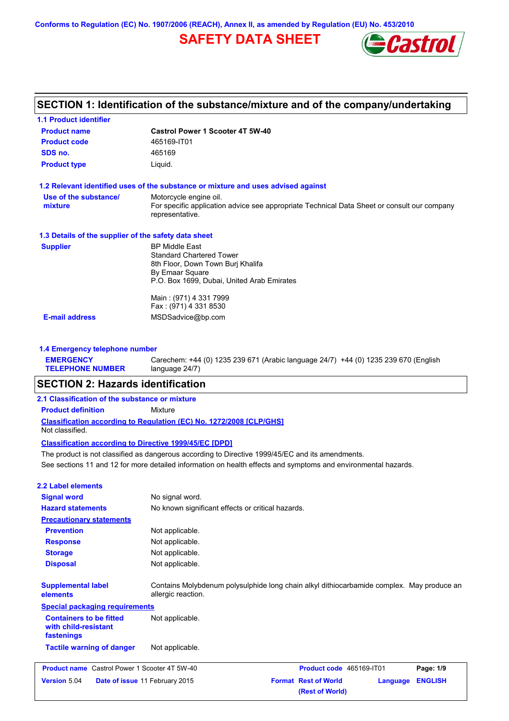**Conforms to Regulation (EC) No. 1907/2006 (REACH), Annex II, as amended by Regulation (EU) No. 453/2010**

# **SAFETY DATA SHEET**



| <b>Castrol Power 1 Scooter 4T 5W-40</b>                                                                        |
|----------------------------------------------------------------------------------------------------------------|
| 465169-IT01                                                                                                    |
| 465169                                                                                                         |
| Liquid.                                                                                                        |
| 1.2 Relevant identified uses of the substance or mixture and uses advised against                              |
| Motorcycle engine oil.                                                                                         |
| For specific application advice see appropriate Technical Data Sheet or consult our company<br>representative. |
| 1.3 Details of the supplier of the safety data sheet                                                           |
| <b>BP Middle East</b>                                                                                          |
| <b>Standard Chartered Tower</b>                                                                                |
| 8th Floor, Down Town Burj Khalifa                                                                              |
| By Emaar Square<br>P.O. Box 1699, Dubai, United Arab Emirates                                                  |
|                                                                                                                |
| Main: (971) 4 331 7999                                                                                         |
| Fax: (971) 4 331 8530                                                                                          |
| MSDSadvice@bp.com                                                                                              |
|                                                                                                                |

| <b>EMERGENCY</b>        | Carechem: +44 (0) 1235 239 671 (Arabic language 24/7) +44 (0) 1235 239 670 (English |
|-------------------------|-------------------------------------------------------------------------------------|
| <b>TELEPHONE NUMBER</b> | language 24/7)                                                                      |

# **SECTION 2: Hazards identification**

## **2.1 Classification of the substance or mixture**

**Product definition** Mixture

**Classification according to Regulation (EC) No. 1272/2008 [CLP/GHS]** Not classified.

### **Classification according to Directive 1999/45/EC [DPD]**

See sections 11 and 12 for more detailed information on health effects and symptoms and environmental hazards. The product is not classified as dangerous according to Directive 1999/45/EC and its amendments.

## **2.2 Label elements**

| <b>Signal word</b>                                                   | No signal word.                                                                                                 |                                                |          |                |
|----------------------------------------------------------------------|-----------------------------------------------------------------------------------------------------------------|------------------------------------------------|----------|----------------|
| <b>Hazard statements</b>                                             | No known significant effects or critical hazards.                                                               |                                                |          |                |
| <b>Precautionary statements</b>                                      |                                                                                                                 |                                                |          |                |
| <b>Prevention</b>                                                    | Not applicable.                                                                                                 |                                                |          |                |
| <b>Response</b>                                                      | Not applicable.                                                                                                 |                                                |          |                |
| <b>Storage</b>                                                       | Not applicable.                                                                                                 |                                                |          |                |
| <b>Disposal</b>                                                      | Not applicable.                                                                                                 |                                                |          |                |
| <b>Supplemental label</b><br>elements                                | Contains Molybdenum polysulphide long chain alkyl dithiocarbamide complex. May produce an<br>allergic reaction. |                                                |          |                |
| <b>Special packaging requirements</b>                                |                                                                                                                 |                                                |          |                |
| <b>Containers to be fitted</b><br>with child-resistant<br>fastenings | Not applicable.                                                                                                 |                                                |          |                |
| <b>Tactile warning of danger</b>                                     | Not applicable.                                                                                                 |                                                |          |                |
| <b>Product name</b> Castrol Power 1 Scooter 4T 5W-40                 |                                                                                                                 | Product code 465169-IT01                       |          | Page: 1/9      |
| Version 5.04<br>Date of issue 11 February 2015                       |                                                                                                                 | <b>Format Rest of World</b><br>(Rest of World) | Language | <b>ENGLISH</b> |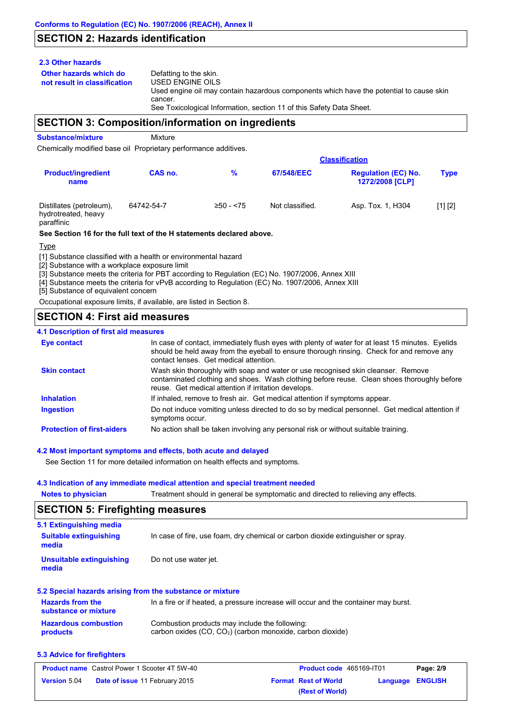# **SECTION 2: Hazards identification**

## **2.3 Other hazards**

**Other hazards which do** 

**not result in classification** Defatting to the skin. USED ENGINE OILS Used engine oil may contain hazardous components which have the potential to cause skin cancer. See Toxicological Information, section 11 of this Safety Data Sheet.

## **SECTION 3: Composition/information on ingredients**

**Substance/mixture** Mixture

Chemically modified base oil Proprietary performance additives.

|                                                               |            | <b>Classification</b> |                 |                                                      |             |  |
|---------------------------------------------------------------|------------|-----------------------|-----------------|------------------------------------------------------|-------------|--|
| <b>Product/ingredient</b><br>name                             | CAS no.    | %                     | 67/548/EEC      | <b>Regulation (EC) No.</b><br><b>1272/2008 [CLP]</b> | <b>Type</b> |  |
| Distillates (petroleum),<br>hydrotreated, heavy<br>paraffinic | 64742-54-7 | $≥50 - 575$           | Not classified. | Asp. Tox. 1, H304                                    | [1] [2]     |  |

### **See Section 16 for the full text of the H statements declared above.**

Type

[1] Substance classified with a health or environmental hazard

[2] Substance with a workplace exposure limit

[3] Substance meets the criteria for PBT according to Regulation (EC) No. 1907/2006, Annex XIII

[4] Substance meets the criteria for vPvB according to Regulation (EC) No. 1907/2006, Annex XIII

[5] Substance of equivalent concern

Occupational exposure limits, if available, are listed in Section 8.

# **SECTION 4: First aid measures**

## **4.1 Description of first aid measures**

| <b>Eye contact</b>                | In case of contact, immediately flush eyes with plenty of water for at least 15 minutes. Eyelids<br>should be held away from the eyeball to ensure thorough rinsing. Check for and remove any<br>contact lenses. Get medical attention. |
|-----------------------------------|-----------------------------------------------------------------------------------------------------------------------------------------------------------------------------------------------------------------------------------------|
| <b>Skin contact</b>               | Wash skin thoroughly with soap and water or use recognised skin cleanser. Remove<br>contaminated clothing and shoes. Wash clothing before reuse. Clean shoes thoroughly before<br>reuse. Get medical attention if irritation develops.  |
| <b>Inhalation</b>                 | If inhaled, remove to fresh air. Get medical attention if symptoms appear.                                                                                                                                                              |
| <b>Ingestion</b>                  | Do not induce vomiting unless directed to do so by medical personnel. Get medical attention if<br>symptoms occur.                                                                                                                       |
| <b>Protection of first-aiders</b> | No action shall be taken involving any personal risk or without suitable training.                                                                                                                                                      |

## **4.2 Most important symptoms and effects, both acute and delayed**

See Section 11 for more detailed information on health effects and symptoms.

## **4.3 Indication of any immediate medical attention and special treatment needed**

**Notes to physician** Treatment should in general be symptomatic and directed to relieving any effects.

## **SECTION 5: Firefighting measures**

| 5.1 Extinguishing media                         |                                                                                     |
|-------------------------------------------------|-------------------------------------------------------------------------------------|
| <b>Suitable extinguishing</b><br>media          | In case of fire, use foam, dry chemical or carbon dioxide extinguisher or spray.    |
| Unsuitable extinguishing<br>media               | Do not use water jet.                                                               |
|                                                 | 5.2 Special hazards arising from the substance or mixture                           |
| <b>Hazards from the</b><br>substance or mixture | In a fire or if heated, a pressure increase will occur and the container may burst. |
| Hazardous combustion                            | Combustion products may include the following:                                      |

#### **Hazardous combustion products** Combustion products may include the following: carbon oxides (CO, CO2) (carbon monoxide, carbon dioxide)

## **5.3 Advice for firefighters**

| <b>Product name</b> Castrol Power 1 Scooter 4T 5W-40 |                                       | <b>Product code</b> 465169-IT01 |                             | Page: 2/9        |  |
|------------------------------------------------------|---------------------------------------|---------------------------------|-----------------------------|------------------|--|
| <b>Version 5.04</b>                                  | <b>Date of issue 11 February 2015</b> |                                 | <b>Format Rest of World</b> | Language ENGLISH |  |
|                                                      |                                       |                                 | (Rest of World)             |                  |  |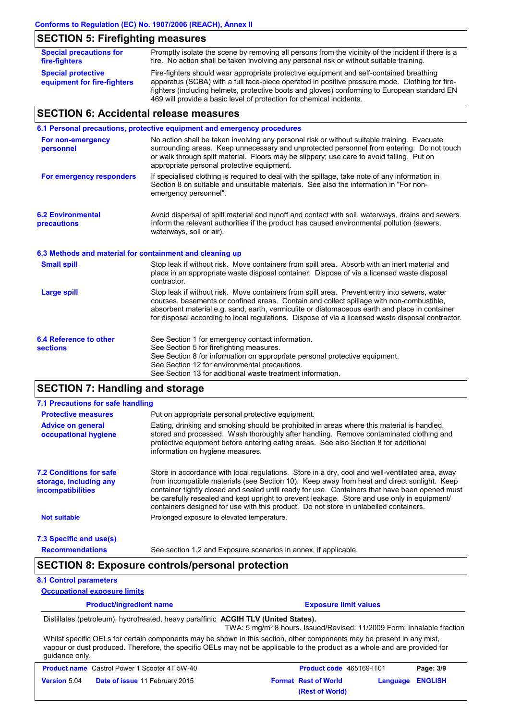# **SECTION 5: Firefighting measures**

| <b>Special precautions for</b><br>fire-fighters          | Promptly isolate the scene by removing all persons from the vicinity of the incident if there is a<br>fire. No action shall be taken involving any personal risk or without suitable training.                                                                                            |
|----------------------------------------------------------|-------------------------------------------------------------------------------------------------------------------------------------------------------------------------------------------------------------------------------------------------------------------------------------------|
| <b>Special protective</b><br>equipment for fire-fighters | Fire-fighters should wear appropriate protective equipment and self-contained breathing<br>apparatus (SCBA) with a full face-piece operated in positive pressure mode. Clothing for fire-<br>fighters (including helmets, protective boots and gloves) conforming to European standard EN |
|                                                          | 469 will provide a basic level of protection for chemical incidents.                                                                                                                                                                                                                      |

# **SECTION 6: Accidental release measures**

|                                                          | 6.1 Personal precautions, protective equipment and emergency procedures                                                                                                                                                                                                                                                                                                                        |
|----------------------------------------------------------|------------------------------------------------------------------------------------------------------------------------------------------------------------------------------------------------------------------------------------------------------------------------------------------------------------------------------------------------------------------------------------------------|
| For non-emergency<br>personnel                           | No action shall be taken involving any personal risk or without suitable training. Evacuate<br>surrounding areas. Keep unnecessary and unprotected personnel from entering. Do not touch<br>or walk through spilt material. Floors may be slippery; use care to avoid falling. Put on<br>appropriate personal protective equipment.                                                            |
| For emergency responders                                 | If specialised clothing is required to deal with the spillage, take note of any information in<br>Section 8 on suitable and unsuitable materials. See also the information in "For non-<br>emergency personnel".                                                                                                                                                                               |
| <b>6.2 Environmental</b><br>precautions                  | Avoid dispersal of spilt material and runoff and contact with soil, waterways, drains and sewers.<br>Inform the relevant authorities if the product has caused environmental pollution (sewers,<br>waterways, soil or air).                                                                                                                                                                    |
| 6.3 Methods and material for containment and cleaning up |                                                                                                                                                                                                                                                                                                                                                                                                |
| <b>Small spill</b>                                       | Stop leak if without risk. Move containers from spill area. Absorb with an inert material and<br>place in an appropriate waste disposal container. Dispose of via a licensed waste disposal<br>contractor.                                                                                                                                                                                     |
| <b>Large spill</b>                                       | Stop leak if without risk. Move containers from spill area. Prevent entry into sewers, water<br>courses, basements or confined areas. Contain and collect spillage with non-combustible,<br>absorbent material e.g. sand, earth, vermiculite or diatomaceous earth and place in container<br>for disposal according to local regulations. Dispose of via a licensed waste disposal contractor. |
| 6.4 Reference to other<br><b>sections</b>                | See Section 1 for emergency contact information.<br>See Section 5 for firefighting measures.<br>See Section 8 for information on appropriate personal protective equipment.<br>See Section 12 for environmental precautions.<br>See Section 13 for additional waste treatment information.                                                                                                     |

# **SECTION 7: Handling and storage**

| 7.1 Precautions for safe handling                                                    |                                                                                                                                                                                                                                                                                                                                                                                                                                                                                          |
|--------------------------------------------------------------------------------------|------------------------------------------------------------------------------------------------------------------------------------------------------------------------------------------------------------------------------------------------------------------------------------------------------------------------------------------------------------------------------------------------------------------------------------------------------------------------------------------|
| <b>Protective measures</b>                                                           | Put on appropriate personal protective equipment.                                                                                                                                                                                                                                                                                                                                                                                                                                        |
| <b>Advice on general</b><br>occupational hygiene                                     | Eating, drinking and smoking should be prohibited in areas where this material is handled,<br>stored and processed. Wash thoroughly after handling. Remove contaminated clothing and<br>protective equipment before entering eating areas. See also Section 8 for additional<br>information on hygiene measures.                                                                                                                                                                         |
| <b>7.2 Conditions for safe</b><br>storage, including any<br><i>incompatibilities</i> | Store in accordance with local requiations. Store in a dry, cool and well-ventilated area, away<br>from incompatible materials (see Section 10). Keep away from heat and direct sunlight. Keep<br>container tightly closed and sealed until ready for use. Containers that have been opened must<br>be carefully resealed and kept upright to prevent leakage. Store and use only in equipment/<br>containers designed for use with this product. Do not store in unlabelled containers. |
| <b>Not suitable</b>                                                                  | Prolonged exposure to elevated temperature.                                                                                                                                                                                                                                                                                                                                                                                                                                              |
| 7.3 Specific end use(s)                                                              |                                                                                                                                                                                                                                                                                                                                                                                                                                                                                          |

**Recommendations**

### See section 1.2 and Exposure scenarios in annex, if applicable.

# **SECTION 8: Exposure controls/personal protection**

## **8.1 Control parameters**

**Occupational exposure limits**

| <b>Product/ingredient name</b> | <b>Exposure limit values</b> |
|--------------------------------|------------------------------|
|                                |                              |

Distillates (petroleum), hydrotreated, heavy paraffinic **ACGIH TLV (United States).**

TWA: 5 mg/m<sup>3</sup> 8 hours. Issued/Revised: 11/2009 Form: Inhalable fraction

Whilst specific OELs for certain components may be shown in this section, other components may be present in any mist, vapour or dust produced. Therefore, the specific OELs may not be applicable to the product as a whole and are provided for guidance only.

| <b>Product name</b> Castrol Power 1 Scooter 4T 5W-40 |                                       | <b>Product code</b> 465169-IT01 |                             | Page: 3/9               |  |
|------------------------------------------------------|---------------------------------------|---------------------------------|-----------------------------|-------------------------|--|
| <b>Version 5.04</b>                                  | <b>Date of issue 11 February 2015</b> |                                 | <b>Format Rest of World</b> | <b>Language ENGLISH</b> |  |
|                                                      |                                       |                                 | (Rest of World)             |                         |  |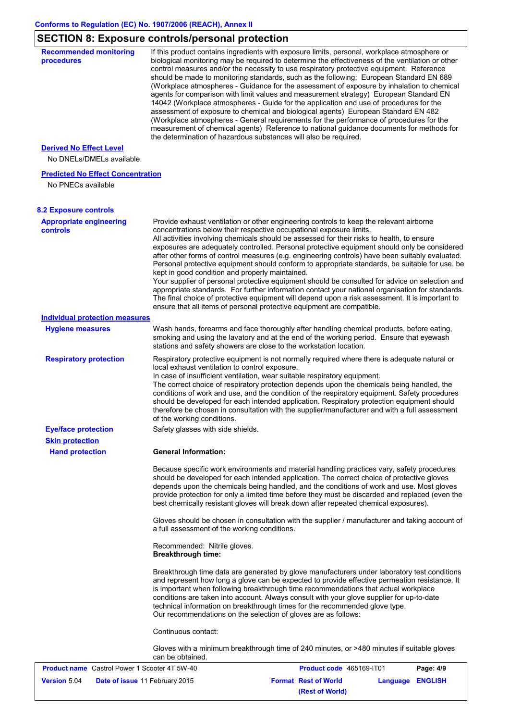# **SECTION 8: Exposure controls/personal protection**

| <b>Recommended monitoring</b><br>procedures                    | If this product contains ingredients with exposure limits, personal, workplace atmosphere or<br>biological monitoring may be required to determine the effectiveness of the ventilation or other<br>control measures and/or the necessity to use respiratory protective equipment. Reference<br>should be made to monitoring standards, such as the following: European Standard EN 689<br>(Workplace atmospheres - Guidance for the assessment of exposure by inhalation to chemical<br>agents for comparison with limit values and measurement strategy) European Standard EN<br>14042 (Workplace atmospheres - Guide for the application and use of procedures for the<br>assessment of exposure to chemical and biological agents) European Standard EN 482<br>(Workplace atmospheres - General requirements for the performance of procedures for the<br>measurement of chemical agents) Reference to national guidance documents for methods for<br>the determination of hazardous substances will also be required. |
|----------------------------------------------------------------|----------------------------------------------------------------------------------------------------------------------------------------------------------------------------------------------------------------------------------------------------------------------------------------------------------------------------------------------------------------------------------------------------------------------------------------------------------------------------------------------------------------------------------------------------------------------------------------------------------------------------------------------------------------------------------------------------------------------------------------------------------------------------------------------------------------------------------------------------------------------------------------------------------------------------------------------------------------------------------------------------------------------------|
| <b>Derived No Effect Level</b>                                 |                                                                                                                                                                                                                                                                                                                                                                                                                                                                                                                                                                                                                                                                                                                                                                                                                                                                                                                                                                                                                            |
| No DNELs/DMELs available.                                      |                                                                                                                                                                                                                                                                                                                                                                                                                                                                                                                                                                                                                                                                                                                                                                                                                                                                                                                                                                                                                            |
| <b>Predicted No Effect Concentration</b><br>No PNECs available |                                                                                                                                                                                                                                                                                                                                                                                                                                                                                                                                                                                                                                                                                                                                                                                                                                                                                                                                                                                                                            |
| <b>8.2 Exposure controls</b>                                   |                                                                                                                                                                                                                                                                                                                                                                                                                                                                                                                                                                                                                                                                                                                                                                                                                                                                                                                                                                                                                            |
| <b>Appropriate engineering</b><br><b>controls</b>              | Provide exhaust ventilation or other engineering controls to keep the relevant airborne<br>concentrations below their respective occupational exposure limits.<br>All activities involving chemicals should be assessed for their risks to health, to ensure<br>exposures are adequately controlled. Personal protective equipment should only be considered<br>after other forms of control measures (e.g. engineering controls) have been suitably evaluated.<br>Personal protective equipment should conform to appropriate standards, be suitable for use, be<br>kept in good condition and properly maintained.<br>Your supplier of personal protective equipment should be consulted for advice on selection and<br>appropriate standards. For further information contact your national organisation for standards.<br>The final choice of protective equipment will depend upon a risk assessment. It is important to<br>ensure that all items of personal protective equipment are compatible.                    |
| <b>Individual protection measures</b>                          |                                                                                                                                                                                                                                                                                                                                                                                                                                                                                                                                                                                                                                                                                                                                                                                                                                                                                                                                                                                                                            |
| <b>Hygiene measures</b>                                        | Wash hands, forearms and face thoroughly after handling chemical products, before eating,<br>smoking and using the lavatory and at the end of the working period. Ensure that eyewash<br>stations and safety showers are close to the workstation location.                                                                                                                                                                                                                                                                                                                                                                                                                                                                                                                                                                                                                                                                                                                                                                |
| <b>Respiratory protection</b>                                  | Respiratory protective equipment is not normally required where there is adequate natural or<br>local exhaust ventilation to control exposure.<br>In case of insufficient ventilation, wear suitable respiratory equipment.<br>The correct choice of respiratory protection depends upon the chemicals being handled, the<br>conditions of work and use, and the condition of the respiratory equipment. Safety procedures<br>should be developed for each intended application. Respiratory protection equipment should<br>therefore be chosen in consultation with the supplier/manufacturer and with a full assessment<br>of the working conditions.                                                                                                                                                                                                                                                                                                                                                                    |
| <b>Eye/face protection</b>                                     | Safety glasses with side shields.                                                                                                                                                                                                                                                                                                                                                                                                                                                                                                                                                                                                                                                                                                                                                                                                                                                                                                                                                                                          |
| <b>Skin protection</b><br><b>Hand protection</b>               | <b>General Information:</b>                                                                                                                                                                                                                                                                                                                                                                                                                                                                                                                                                                                                                                                                                                                                                                                                                                                                                                                                                                                                |
|                                                                | Because specific work environments and material handling practices vary, safety procedures<br>should be developed for each intended application. The correct choice of protective gloves<br>depends upon the chemicals being handled, and the conditions of work and use. Most gloves<br>provide protection for only a limited time before they must be discarded and replaced (even the<br>best chemically resistant gloves will break down after repeated chemical exposures).                                                                                                                                                                                                                                                                                                                                                                                                                                                                                                                                           |
|                                                                | Gloves should be chosen in consultation with the supplier / manufacturer and taking account of<br>a full assessment of the working conditions.                                                                                                                                                                                                                                                                                                                                                                                                                                                                                                                                                                                                                                                                                                                                                                                                                                                                             |
|                                                                | Recommended: Nitrile gloves.<br><b>Breakthrough time:</b>                                                                                                                                                                                                                                                                                                                                                                                                                                                                                                                                                                                                                                                                                                                                                                                                                                                                                                                                                                  |
|                                                                | Breakthrough time data are generated by glove manufacturers under laboratory test conditions<br>and represent how long a glove can be expected to provide effective permeation resistance. It<br>is important when following breakthrough time recommendations that actual workplace<br>conditions are taken into account. Always consult with your glove supplier for up-to-date<br>technical information on breakthrough times for the recommended glove type.<br>Our recommendations on the selection of gloves are as follows:                                                                                                                                                                                                                                                                                                                                                                                                                                                                                         |
|                                                                | Continuous contact:                                                                                                                                                                                                                                                                                                                                                                                                                                                                                                                                                                                                                                                                                                                                                                                                                                                                                                                                                                                                        |
|                                                                | Gloves with a minimum breakthrough time of 240 minutes, or >480 minutes if suitable gloves<br>can be obtained.                                                                                                                                                                                                                                                                                                                                                                                                                                                                                                                                                                                                                                                                                                                                                                                                                                                                                                             |
| <b>Product name</b> Castrol Power 1 Scooter 4T 5W-40           | Product code 465169-IT01<br>Page: 4/9                                                                                                                                                                                                                                                                                                                                                                                                                                                                                                                                                                                                                                                                                                                                                                                                                                                                                                                                                                                      |
| <b>Version 5.04</b>                                            | <b>Format Rest of World</b><br>Date of issue 11 February 2015<br><b>Language ENGLISH</b>                                                                                                                                                                                                                                                                                                                                                                                                                                                                                                                                                                                                                                                                                                                                                                                                                                                                                                                                   |

**(Rest of World)**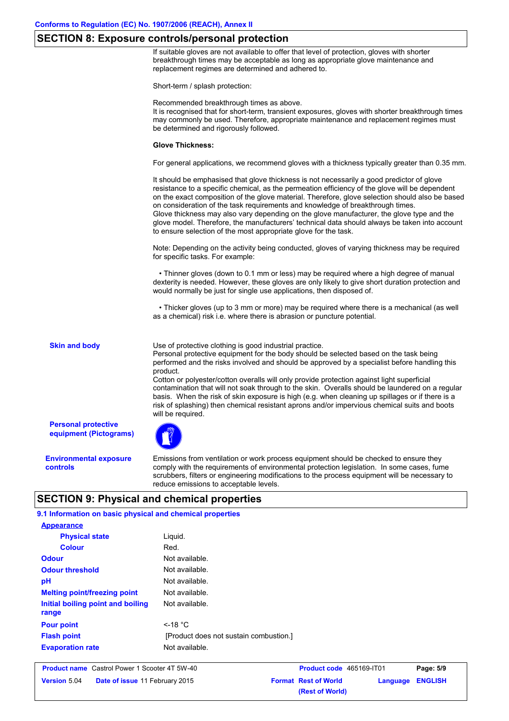## **SECTION 8: Exposure controls/personal protection**

If suitable gloves are not available to offer that level of protection, gloves with shorter breakthrough times may be acceptable as long as appropriate glove maintenance and replacement regimes are determined and adhered to.

Short-term / splash protection:

Recommended breakthrough times as above.

It is recognised that for short-term, transient exposures, gloves with shorter breakthrough times may commonly be used. Therefore, appropriate maintenance and replacement regimes must be determined and rigorously followed.

### **Glove Thickness:**

For general applications, we recommend gloves with a thickness typically greater than 0.35 mm.

It should be emphasised that glove thickness is not necessarily a good predictor of glove resistance to a specific chemical, as the permeation efficiency of the glove will be dependent on the exact composition of the glove material. Therefore, glove selection should also be based on consideration of the task requirements and knowledge of breakthrough times. Glove thickness may also vary depending on the glove manufacturer, the glove type and the glove model. Therefore, the manufacturers' technical data should always be taken into account to ensure selection of the most appropriate glove for the task.

Note: Depending on the activity being conducted, gloves of varying thickness may be required for specific tasks. For example:

 • Thinner gloves (down to 0.1 mm or less) may be required where a high degree of manual dexterity is needed. However, these gloves are only likely to give short duration protection and would normally be just for single use applications, then disposed of.

 • Thicker gloves (up to 3 mm or more) may be required where there is a mechanical (as well as a chemical) risk i.e. where there is abrasion or puncture potential.

**Skin and body**

Use of protective clothing is good industrial practice.

Personal protective equipment for the body should be selected based on the task being performed and the risks involved and should be approved by a specialist before handling this product.

Cotton or polyester/cotton overalls will only provide protection against light superficial contamination that will not soak through to the skin. Overalls should be laundered on a regular basis. When the risk of skin exposure is high (e.g. when cleaning up spillages or if there is a risk of splashing) then chemical resistant aprons and/or impervious chemical suits and boots will be required.

**Personal protective equipment (Pictograms)**

**Environmental exposure controls**

Emissions from ventilation or work process equipment should be checked to ensure they comply with the requirements of environmental protection legislation. In some cases, fume scrubbers, filters or engineering modifications to the process equipment will be necessary to reduce emissions to acceptable levels.

**(Rest of World)**

# **SECTION 9: Physical and chemical properties**

| 9.1 Information on basic physical and chemical properties |                                        |                             |          |                |  |
|-----------------------------------------------------------|----------------------------------------|-----------------------------|----------|----------------|--|
| <b>Appearance</b>                                         |                                        |                             |          |                |  |
| <b>Physical state</b>                                     | Liquid.                                |                             |          |                |  |
| <b>Colour</b>                                             | Red.                                   |                             |          |                |  |
| <b>Odour</b>                                              | Not available.                         |                             |          |                |  |
| <b>Odour threshold</b>                                    | Not available.                         |                             |          |                |  |
| pH                                                        | Not available.                         |                             |          |                |  |
| <b>Melting point/freezing point</b>                       | Not available.                         |                             |          |                |  |
| Initial boiling point and boiling<br>range                | Not available.                         |                             |          |                |  |
| <b>Pour point</b>                                         | $\leq$ -18 °C                          |                             |          |                |  |
| <b>Flash point</b>                                        | [Product does not sustain combustion.] |                             |          |                |  |
| <b>Evaporation rate</b>                                   | Not available.                         |                             |          |                |  |
| <b>Product name</b> Castrol Power 1 Scooter 4T 5W-40      |                                        | Product code 465169-IT01    |          | Page: 5/9      |  |
| Version 5.04<br>Date of issue 11 February 2015            |                                        | <b>Format Rest of World</b> | Language | <b>ENGLISH</b> |  |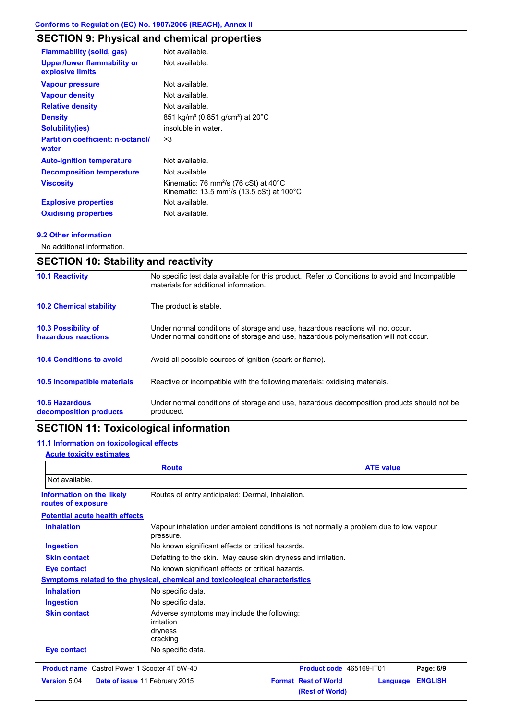# **SECTION 9: Physical and chemical properties**

| <b>Flammability (solid, gas)</b>                       | Not available.                                                                                                                   |
|--------------------------------------------------------|----------------------------------------------------------------------------------------------------------------------------------|
| <b>Upper/lower flammability or</b><br>explosive limits | Not available.                                                                                                                   |
| <b>Vapour pressure</b>                                 | Not available.                                                                                                                   |
| <b>Vapour density</b>                                  | Not available.                                                                                                                   |
| <b>Relative density</b>                                | Not available.                                                                                                                   |
| <b>Density</b>                                         | 851 kg/m <sup>3</sup> (0.851 g/cm <sup>3</sup> ) at 20°C                                                                         |
| <b>Solubility(ies)</b>                                 | insoluble in water.                                                                                                              |
| <b>Partition coefficient: n-octanol/</b><br>water      | >3                                                                                                                               |
| <b>Auto-ignition temperature</b>                       | Not available.                                                                                                                   |
| <b>Decomposition temperature</b>                       | Not available.                                                                                                                   |
| <b>Viscosity</b>                                       | Kinematic: 76 mm <sup>2</sup> /s (76 cSt) at $40^{\circ}$ C<br>Kinematic: 13.5 mm <sup>2</sup> /s (13.5 cSt) at 100 $^{\circ}$ C |
| <b>Explosive properties</b>                            | Not available.                                                                                                                   |
| <b>Oxidising properties</b>                            | Not available.                                                                                                                   |

## **9.2 Other information**

No additional information.

| <b>SECTION 10: Stability and reactivity</b>       |                                                                                                                                                                         |  |
|---------------------------------------------------|-------------------------------------------------------------------------------------------------------------------------------------------------------------------------|--|
| <b>10.1 Reactivity</b>                            | No specific test data available for this product. Refer to Conditions to avoid and Incompatible<br>materials for additional information.                                |  |
| <b>10.2 Chemical stability</b>                    | The product is stable.                                                                                                                                                  |  |
| <b>10.3 Possibility of</b><br>hazardous reactions | Under normal conditions of storage and use, hazardous reactions will not occur.<br>Under normal conditions of storage and use, hazardous polymerisation will not occur. |  |
| <b>10.4 Conditions to avoid</b>                   | Avoid all possible sources of ignition (spark or flame).                                                                                                                |  |
| <b>10.5 Incompatible materials</b>                | Reactive or incompatible with the following materials: oxidising materials.                                                                                             |  |
| <b>10.6 Hazardous</b><br>decomposition products   | Under normal conditions of storage and use, hazardous decomposition products should not be<br>produced.                                                                 |  |

# **SECTION 11: Toxicological information**

# **11.1 Information on toxicological effects**

## **Acute toxicity estimates**

| <b>Route</b>                                         |                                                                                                     | <b>ATE value</b>                                           |                |
|------------------------------------------------------|-----------------------------------------------------------------------------------------------------|------------------------------------------------------------|----------------|
| Not available.                                       |                                                                                                     |                                                            |                |
| Information on the likely<br>routes of exposure      | Routes of entry anticipated: Dermal, Inhalation.                                                    |                                                            |                |
| <b>Potential acute health effects</b>                |                                                                                                     |                                                            |                |
| <b>Inhalation</b>                                    | Vapour inhalation under ambient conditions is not normally a problem due to low vapour<br>pressure. |                                                            |                |
| <b>Ingestion</b>                                     | No known significant effects or critical hazards.                                                   |                                                            |                |
| <b>Skin contact</b>                                  | Defatting to the skin. May cause skin dryness and irritation.                                       |                                                            |                |
| <b>Eye contact</b>                                   | No known significant effects or critical hazards.                                                   |                                                            |                |
|                                                      | Symptoms related to the physical, chemical and toxicological characteristics                        |                                                            |                |
| <b>Inhalation</b>                                    | No specific data.                                                                                   |                                                            |                |
| <b>Ingestion</b>                                     | No specific data.                                                                                   |                                                            |                |
| <b>Skin contact</b>                                  | Adverse symptoms may include the following:<br>irritation<br>dryness<br>cracking                    |                                                            |                |
| <b>Eye contact</b>                                   | No specific data.                                                                                   |                                                            |                |
| <b>Product name</b> Castrol Power 1 Scooter 4T 5W-40 |                                                                                                     | Product code 465169-IT01                                   | Page: 6/9      |
| Version 5.04                                         | Date of issue 11 February 2015                                                                      | <b>Format Rest of World</b><br>Language<br>(Rest of World) | <b>ENGLISH</b> |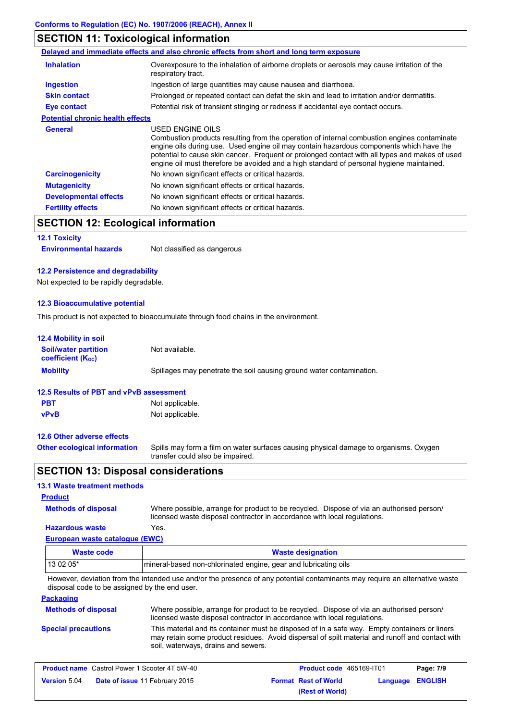# **SECTION 11: Toxicological information**

|                                         | Delayed and immediate effects and also chronic effects from short and long term exposure                                                                                                                                                                                                                                                                                                                 |
|-----------------------------------------|----------------------------------------------------------------------------------------------------------------------------------------------------------------------------------------------------------------------------------------------------------------------------------------------------------------------------------------------------------------------------------------------------------|
| <b>Inhalation</b>                       | Overexposure to the inhalation of airborne droplets or aerosols may cause irritation of the<br>respiratory tract.                                                                                                                                                                                                                                                                                        |
| Ingestion                               | Ingestion of large quantities may cause nausea and diarrhoea.                                                                                                                                                                                                                                                                                                                                            |
| <b>Skin contact</b>                     | Prolonged or repeated contact can defat the skin and lead to irritation and/or dermatitis.                                                                                                                                                                                                                                                                                                               |
| Eye contact                             | Potential risk of transient stinging or redness if accidental eye contact occurs.                                                                                                                                                                                                                                                                                                                        |
| <b>Potential chronic health effects</b> |                                                                                                                                                                                                                                                                                                                                                                                                          |
| <b>General</b>                          | USED ENGINE OILS<br>Combustion products resulting from the operation of internal combustion engines contaminate<br>engine oils during use. Used engine oil may contain hazardous components which have the<br>potential to cause skin cancer. Frequent or prolonged contact with all types and makes of used<br>engine oil must therefore be avoided and a high standard of personal hygiene maintained. |
| <b>Carcinogenicity</b>                  | No known significant effects or critical hazards.                                                                                                                                                                                                                                                                                                                                                        |
| <b>Mutagenicity</b>                     | No known significant effects or critical hazards.                                                                                                                                                                                                                                                                                                                                                        |
| <b>Developmental effects</b>            | No known significant effects or critical hazards.                                                                                                                                                                                                                                                                                                                                                        |
| <b>Fertility effects</b>                | No known significant effects or critical hazards.                                                                                                                                                                                                                                                                                                                                                        |

# **SECTION 12: Ecological information**

# **12.1 Toxicity**

**Environmental hazards** Not classified as dangerous

## **12.2 Persistence and degradability**

Not expected to be rapidly degradable.

## **12.3 Bioaccumulative potential**

This product is not expected to bioaccumulate through food chains in the environment.

| <b>12.4 Mobility in soil</b>                                         |                                                                                                                           |
|----------------------------------------------------------------------|---------------------------------------------------------------------------------------------------------------------------|
| <b>Soil/water partition</b><br><b>coefficient</b> (K <sub>oc</sub> ) | Not available.                                                                                                            |
| <b>Mobility</b>                                                      | Spillages may penetrate the soil causing ground water contamination.                                                      |
| 12.5 Results of PBT and vPvB assessment                              |                                                                                                                           |
| <b>PBT</b>                                                           | Not applicable.                                                                                                           |
| <b>vPvB</b>                                                          | Not applicable.                                                                                                           |
| 12.6 Other adverse effects                                           |                                                                                                                           |
| <b>Other ecological information</b>                                  | Spills may form a film on water surfaces causing physical damage to organisms. Oxygen<br>transfer could also be impaired. |

# **SECTION 13: Disposal considerations**

## **13.1 Waste treatment methods**

## **Product**

**Methods of disposal**

Where possible, arrange for product to be recycled. Dispose of via an authorised person/ licensed waste disposal contractor in accordance with local regulations.

## **European waste catalogue (EWC) Hazardous waste** Yes.

| Waste code | <b>Waste designation</b>                                         |
|------------|------------------------------------------------------------------|
| $130205*$  | Imineral-based non-chlorinated engine, gear and lubricating oils |

However, deviation from the intended use and/or the presence of any potential contaminants may require an alternative waste disposal code to be assigned by the end user.

## **Packaging**

| <b>Methods of disposal</b> | Where possible, arrange for product to be recycled. Dispose of via an authorised person/<br>licensed waste disposal contractor in accordance with local regulations.                                                                    |
|----------------------------|-----------------------------------------------------------------------------------------------------------------------------------------------------------------------------------------------------------------------------------------|
| <b>Special precautions</b> | This material and its container must be disposed of in a safe way. Empty containers or liners<br>may retain some product residues. Avoid dispersal of spilt material and runoff and contact with<br>soil, waterways, drains and sewers. |

| <b>Product name</b> Castrol Power 1 Scooter 4T 5W-40 |                                       | <b>Product code</b> 465169-IT01 |                         | Page: 7/9 |
|------------------------------------------------------|---------------------------------------|---------------------------------|-------------------------|-----------|
| <b>Version 5.04</b>                                  | <b>Date of issue 11 February 2015</b> | <b>Format Rest of World</b>     | <b>Language ENGLISH</b> |           |
|                                                      |                                       | (Rest of World)                 |                         |           |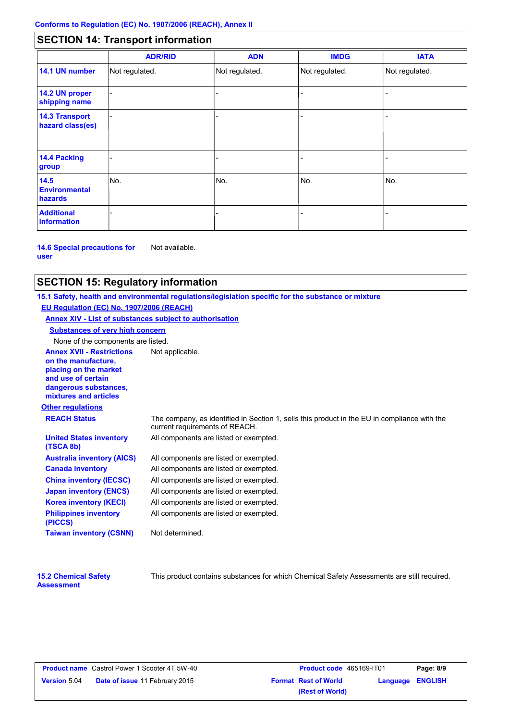# **SECTION 14: Transport information**

|                                           | <b>ADR/RID</b> | <b>ADN</b>     | <b>IMDG</b>    | <b>IATA</b>    |
|-------------------------------------------|----------------|----------------|----------------|----------------|
| 14.1 UN number                            | Not regulated. | Not regulated. | Not regulated. | Not regulated. |
| 14.2 UN proper<br>shipping name           |                |                |                |                |
| <b>14.3 Transport</b><br>hazard class(es) |                |                |                |                |
| 14.4 Packing<br>group                     |                |                |                |                |
| 14.5<br><b>Environmental</b><br>hazards   | No.            | No.            | No.            | No.            |
| <b>Additional</b><br><b>information</b>   |                |                |                |                |

**14.6 Special precautions for user** Not available.

## **SECTION 15: Regulatory information**

**Other regulations Annex XVII - Restrictions** Not applicable. **on the manufacture, placing on the market and use of certain dangerous substances, mixtures and articles REACH Status** The company, as identified in Section 1, sells this product in the EU in compliance with the current requirements of REACH. **15.1 Safety, health and environmental regulations/legislation specific for the substance or mixture EU Regulation (EC) No. 1907/2006 (REACH) Annex XIV - List of substances subject to authorisation Substances of very high concern** None of the components are listed. All components are listed or exempted. All components are listed or exempted. All components are listed or exempted. All components are listed or exempted. All components are listed or exempted. All components are listed or exempted. All components are listed or exempted. **United States inventory (TSCA 8b) Australia inventory (AICS) Canada inventory China inventory (IECSC) Japan inventory (ENCS) Korea inventory (KECI) Philippines inventory (PICCS) Taiwan inventory (CSNN)** Not determined.

| <b>15.2 Chemical Safety</b> |  |
|-----------------------------|--|
| <b>Assessment</b>           |  |

This product contains substances for which Chemical Safety Assessments are still required.